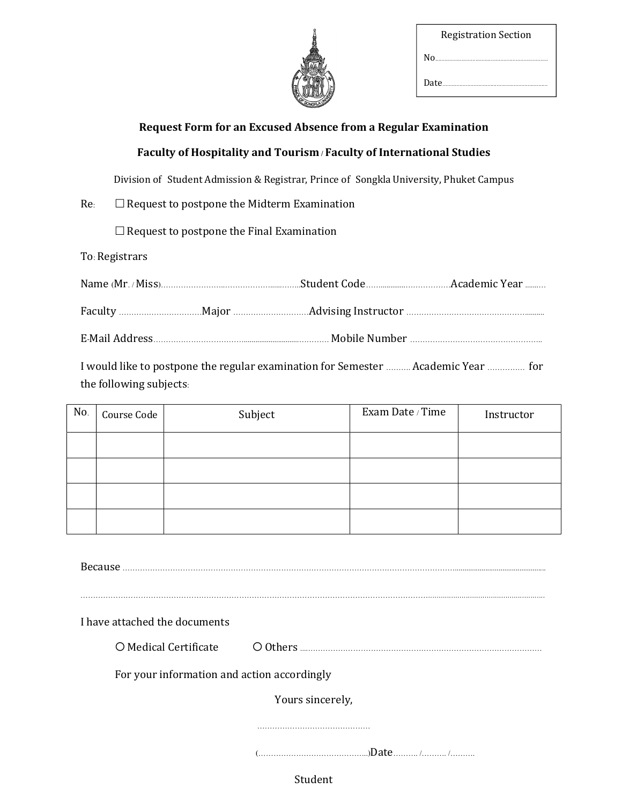| <b>Registration Section</b> |
|-----------------------------|
| N٥                          |
| Date.                       |

# Request Form for an Excused Absence from a Regular Examination

## Faculty of Hospitality and Tourism / Faculty of International Studies

Division of Student Admission & Registrar, Prince of Songkla University, Phuket Campus

 $Re: \Box$  Request to postpone the Midterm Examination

 $\Box$  Request to postpone the Final Examination

To: Registrars

I would like to postpone the regular examination for Semester ………. Academic Year …………… for the following subjects:

| No. | Course Code | Subject | Exam Date / Time | Instructor |
|-----|-------------|---------|------------------|------------|
|     |             |         |                  |            |
|     |             |         |                  |            |
|     |             |         |                  |            |
|     |             |         |                  |            |
|     |             |         |                  |            |
|     |             |         |                  |            |

I have attached the documents Medical Certificate Others ....………………………………………………………………………………… For your information and action accordingly Yours sincerely, ……………………………………… (……………………………………..)Date………. /………. /……….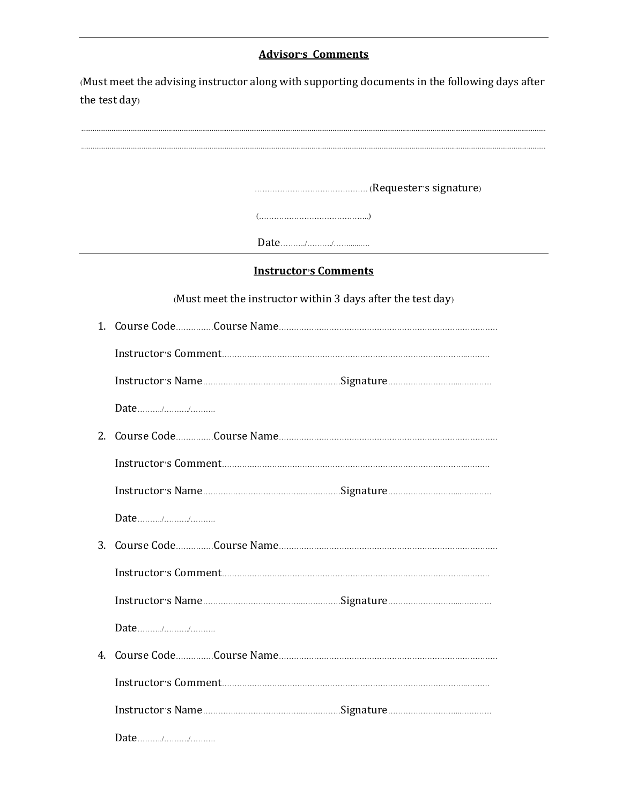# Advisor's Comments

(Must meet the advising instructor along with supporting documents in the following days after the test day)

|        | <b>Instructor's Comments</b>                                |
|--------|-------------------------------------------------------------|
|        | (Must meet the instructor within 3 days after the test day) |
|        |                                                             |
|        |                                                             |
|        |                                                             |
| Date// |                                                             |
|        |                                                             |
|        |                                                             |
|        |                                                             |
| Date// |                                                             |
|        |                                                             |
|        |                                                             |
|        |                                                             |
| Date// |                                                             |
|        |                                                             |
|        |                                                             |
|        |                                                             |
| Date// |                                                             |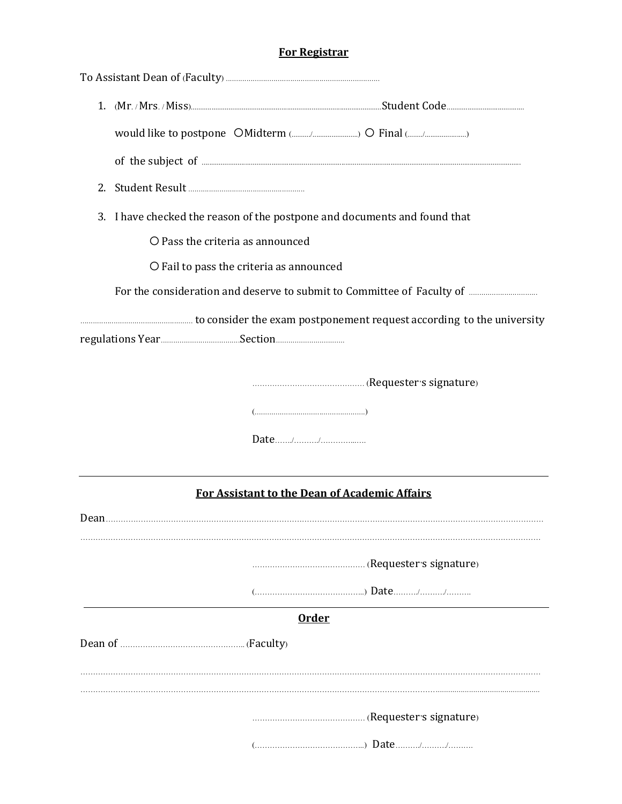# For Registrar

| 2.   |                                                                              |                                                      |  |
|------|------------------------------------------------------------------------------|------------------------------------------------------|--|
|      | I have checked the reason of the postpone and documents and found that<br>3. |                                                      |  |
|      |                                                                              | O Pass the criteria as announced                     |  |
|      |                                                                              | O Fail to pass the criteria as announced             |  |
|      |                                                                              |                                                      |  |
|      |                                                                              |                                                      |  |
|      |                                                                              |                                                      |  |
|      |                                                                              | (Requester's signature) (I.C.)                       |  |
|      |                                                                              |                                                      |  |
|      |                                                                              |                                                      |  |
|      |                                                                              |                                                      |  |
|      |                                                                              | <b>For Assistant to the Dean of Academic Affairs</b> |  |
| Dean |                                                                              |                                                      |  |
|      |                                                                              |                                                      |  |
|      |                                                                              |                                                      |  |
|      |                                                                              | <b>Order</b>                                         |  |
|      |                                                                              |                                                      |  |
|      |                                                                              |                                                      |  |
|      |                                                                              |                                                      |  |
|      |                                                                              |                                                      |  |
|      |                                                                              |                                                      |  |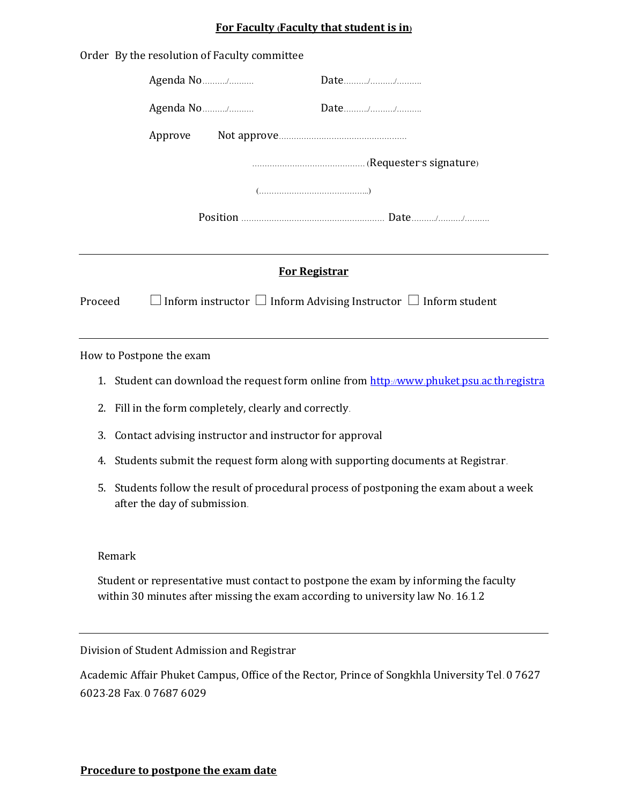## For Faculty (Faculty that student is in)

|                      | Order By the resolution of Faculty committee |                                                                           |  |
|----------------------|----------------------------------------------|---------------------------------------------------------------------------|--|
|                      | Agenda No/                                   |                                                                           |  |
|                      | Agenda No/                                   |                                                                           |  |
|                      | Approve                                      |                                                                           |  |
|                      |                                              |                                                                           |  |
|                      |                                              |                                                                           |  |
|                      |                                              |                                                                           |  |
|                      |                                              |                                                                           |  |
| <b>For Registrar</b> |                                              |                                                                           |  |
| Proceed              |                                              | Inform instructor $\Box$ Inform Advising Instructor $\Box$ Inform student |  |
|                      |                                              |                                                                           |  |

How to Postpone the exam

- 1. Student can download the request form online from http://www.phuket.psu.ac.th/registra
- 2. Fill in the form completely, clearly and correctly.
- 3. Contact advising instructor and instructor for approval
- 4. Students submit the request form along with supporting documents at Registrar.
- 5. Students follow the result of procedural process of postponing the exam about a week after the day of submission.

#### Remark

Student or representative must contact to postpone the exam by informing the faculty within 30 minutes after missing the exam according to university law No. 16.1.2

Division of Student Admission and Registrar

Academic Affair Phuket Campus, Office of the Rector, Prince of Songkhla University Tel. 0 7627 6023-28 Fax. 0 7687 6029